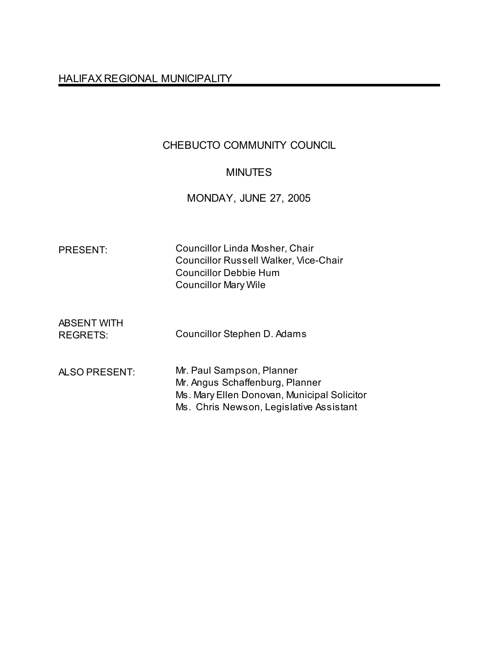# HALIFAX REGIONAL MUNICIPALITY

# CHEBUCTO COMMUNITY COUNCIL

# MINUTES

MONDAY, JUNE 27, 2005

| <b>PRESENT:</b>                       | Councillor Linda Mosher, Chair<br><b>Councillor Russell Walker, Vice-Chair</b><br><b>Councillor Debbie Hum</b><br><b>Councillor Mary Wile</b>          |
|---------------------------------------|--------------------------------------------------------------------------------------------------------------------------------------------------------|
| <b>ABSENT WITH</b><br><b>REGRETS:</b> | Councillor Stephen D. Adams                                                                                                                            |
| ALSO PRESENT:                         | Mr. Paul Sampson, Planner<br>Mr. Angus Schaffenburg, Planner<br>Ms. Mary Ellen Donovan, Municipal Solicitor<br>Ms. Chris Newson, Legislative Assistant |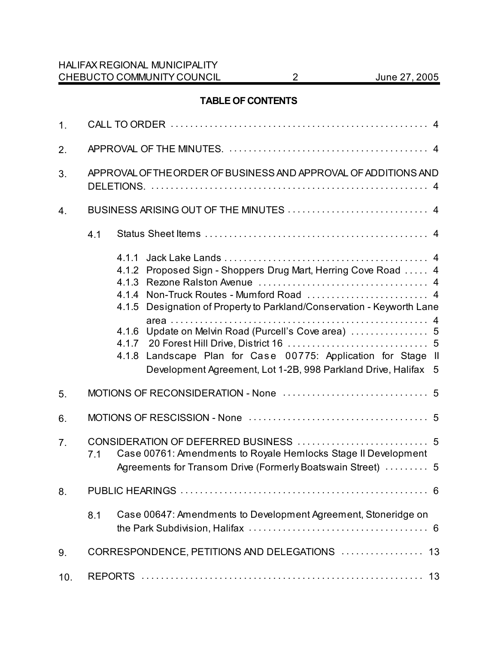# **TABLE OF CONTENTS**

| 1 <sub>1</sub> |     |                                                                                                                                                                                                                                                                                                                                                             |  |
|----------------|-----|-------------------------------------------------------------------------------------------------------------------------------------------------------------------------------------------------------------------------------------------------------------------------------------------------------------------------------------------------------------|--|
| 2.             |     |                                                                                                                                                                                                                                                                                                                                                             |  |
| 3.             |     | APPROVAL OF THE ORDER OF BUSINESS AND APPROVAL OF ADDITIONS AND                                                                                                                                                                                                                                                                                             |  |
| 4.             |     |                                                                                                                                                                                                                                                                                                                                                             |  |
|                | 4.1 |                                                                                                                                                                                                                                                                                                                                                             |  |
|                |     | 4.1.1<br>4.1.2 Proposed Sign - Shoppers Drug Mart, Herring Cove Road  4<br>4.1.3<br>Designation of Property to Parkland/Conservation - Keyworth Lane<br>4.1.5<br>Update on Melvin Road (Purcell's Cove area)  5<br>4.1.6<br>4.1.8 Landscape Plan for Case 00775: Application for Stage II<br>Development Agreement, Lot 1-2B, 998 Parkland Drive, Halifax 5 |  |
| 5.             |     |                                                                                                                                                                                                                                                                                                                                                             |  |
| 6.             |     |                                                                                                                                                                                                                                                                                                                                                             |  |
| 7.             | 7.1 | Case 00761: Amendments to Royale Hemlocks Stage II Development<br>Agreements for Transom Drive (Formerly Boatswain Street)  5                                                                                                                                                                                                                               |  |
| 8.             |     |                                                                                                                                                                                                                                                                                                                                                             |  |
|                | 8.1 | Case 00647: Amendments to Development Agreement, Stoneridge on                                                                                                                                                                                                                                                                                              |  |
| 9.             |     | CORRESPONDENCE, PETITIONS AND DELEGATIONS  13                                                                                                                                                                                                                                                                                                               |  |
| 10.            |     |                                                                                                                                                                                                                                                                                                                                                             |  |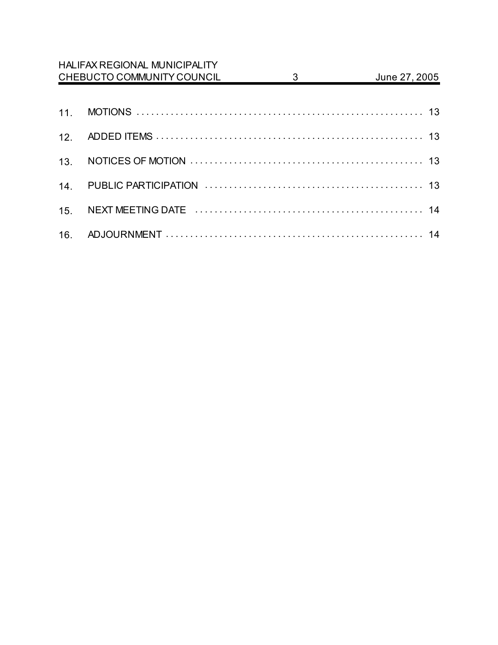|                 | <b>HALIFAX REGIONAL MUNICIPALITY</b> |   |               |
|-----------------|--------------------------------------|---|---------------|
|                 | CHEBUCTO COMMUNITY COUNCIL           | 3 | June 27, 2005 |
|                 |                                      |   |               |
| 11 <sub>1</sub> |                                      |   |               |
| 12.             |                                      |   |               |
| 13.             |                                      |   |               |
| 14.             |                                      |   |               |
| 15.             |                                      |   |               |
|                 |                                      |   |               |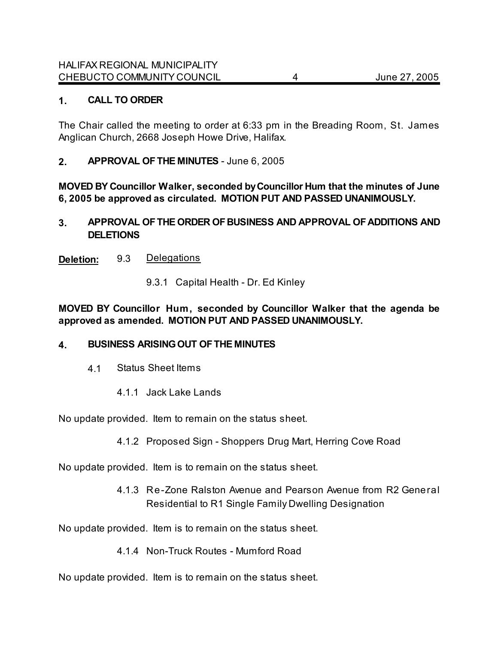### **1. CALL TO ORDER**

The Chair called the meeting to order at 6:33 pm in the Breading Room, St. James Anglican Church, 2668 Joseph Howe Drive, Halifax.

**2. APPROVAL OF THE MINUTES** - June 6, 2005

**MOVED BY Councillor Walker, seconded by Councillor Hum that the minutes of June 6, 2005 be approved as circulated. MOTION PUT AND PASSED UNANIMOUSLY.** 

**3. APPROVAL OF THE ORDER OF BUSINESS AND APPROVAL OF ADDITIONS AND DELETIONS**

**Deletion:** 9.3 Delegations

9.3.1 Capital Health - Dr. Ed Kinley

**MOVED BY Councillor Hum, seconded by Councillor Walker that the agenda be approved as amended. MOTION PUT AND PASSED UNANIMOUSLY.**

### **4. BUSINESS ARISING OUT OF THE MINUTES**

- 4.1 Status Sheet Items
	- 4.1.1 Jack Lake Lands

No update provided. Item to remain on the status sheet.

4.1.2 Proposed Sign - Shoppers Drug Mart, Herring Cove Road

No update provided.Item is to remain on the status sheet.

4.1.3 Re-Zone Ralston Avenue and Pearson Avenue from R2 General Residential to R1 Single Family Dwelling Designation

No update provided.Item is to remain on the status sheet.

4.1.4 Non-Truck Routes - Mumford Road

No update provided.Item is to remain on the status sheet.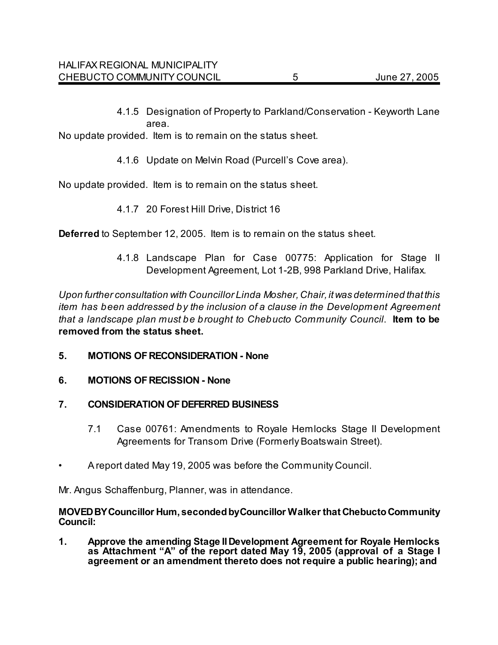4.1.5 Designation of Property to Parkland/Conservation - Keyworth Lane area.

No update provided.Item is to remain on the status sheet.

4.1.6 Update on Melvin Road (Purcell's Cove area).

No update provided.Item is to remain on the status sheet.

4.1.7 20 Forest Hill Drive, District 16

**Deferred** to September 12, 2005.Item is to remain on the status sheet.

4.1.8 Landscape Plan for Case 00775: Application for Stage II Development Agreement, Lot 1-2B, 998 Parkland Drive, Halifax.

*Upon further consultation with Councillor Linda Mosher, Chair, it was determined that this item has been addressed by the inclusion of a clause in the Development Agreement that a landscape plan must be brought to Chebucto Community Council*. **Item to be removed from the status sheet.** 

- **5. MOTIONS OF RECONSIDERATION None**
- **6. MOTIONS OF RECISSION None**
- **7. CONSIDERATION OF DEFERRED BUSINESS**
	- 7.1 Case 00761: Amendments to Royale Hemlocks Stage II Development Agreements for Transom Drive (Formerly Boatswain Street).
- A report dated May 19, 2005 was before the Community Council.

Mr. Angus Schaffenburg, Planner, was in attendance.

#### **MOVED BY Councillor Hum, seconded by Councillor Walker that Chebucto Community Council:**

**1. Approve the amending Stage II Development Agreement for Royale Hemlocks as Attachment "A" of the report dated May 19, 2005 (approval of a Stage I agreement or an amendment thereto does not require a public hearing); and**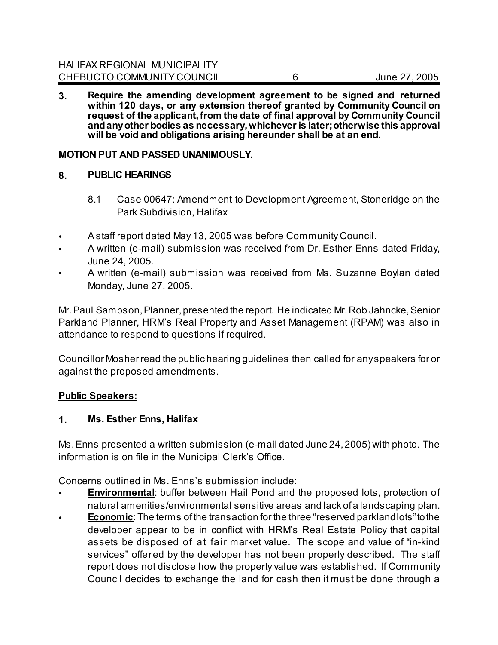**3. Require the amending development agreement to be signed and returned within 120 days, or any extension thereof granted by Community Council on request of the applicant, from the date of final approval by Community Council and any other bodies as necessary, whichever is later; otherwise this approval will be void and obligations arising hereunder shall be at an end.** 

### **MOTION PUT AND PASSED UNANIMOUSLY.**

### **8. PUBLIC HEARINGS**

- 8.1 Case 00647: Amendment to Development Agreement, Stoneridge on the Park Subdivision, Halifax
- A staff report dated May 13, 2005 was before Community Council.
- A written (e-mail) submission was received from Dr. Esther Enns dated Friday, June 24, 2005.
- A written (e-mail) submission was received from Ms. Suzanne Boylan dated Monday, June 27, 2005.

Mr. Paul Sampson, Planner, presented the report. He indicated Mr. Rob Jahncke, Senior Parkland Planner, HRM's Real Property and Asset Management (RPAM) was also in attendance to respond to questions if required.

Councillor Mosher read the public hearing guidelines then called for any speakers for or against the proposed amendments.

### **Public Speakers:**

### **1. Ms. Esther Enns, Halifax**

Ms. Enns presented a written submission (e-mail dated June 24, 2005) with photo. The information is on file in the Municipal Clerk's Office.

Concerns outlined in Ms. Enns's submission include:

- **Environmental:** buffer between Hail Pond and the proposed lots, protection of natural amenities/environmental sensitive areas and lack of a landscaping plan.
- **Economic**: The terms of the transaction for the three "reserved parkland lots" to the developer appear to be in conflict with HRM's Real Estate Policy that capital assets be disposed of at fair market value. The scope and value of "in-kind services" offered by the developer has not been properly described. The staff report does not disclose how the property value was established. If Community Council decides to exchange the land for cash then it must be done through a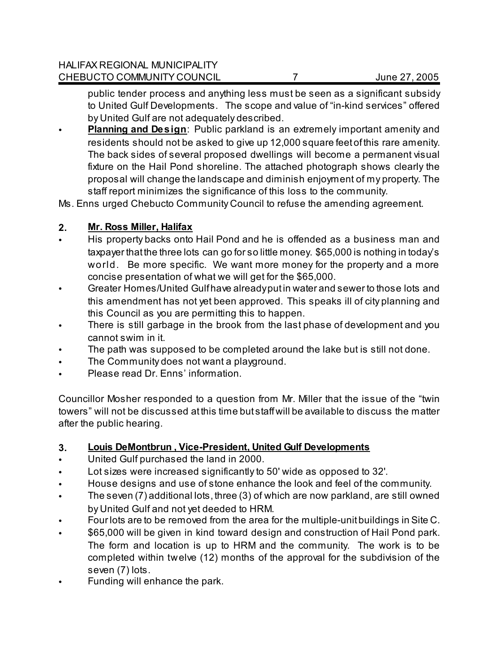public tender process and anything less must be seen as a significant subsidy to United Gulf Developments. The scope and value of "in-kind services" offered by United Gulf are not adequately described.

**Planning and Design:** Public parkland is an extremely important amenity and residents should not be asked to give up 12,000 square feet of this rare amenity. The back sides of several proposed dwellings will become a permanent visual fixture on the Hail Pond shoreline. The attached photograph shows clearly the proposal will change the landscape and diminish enjoyment of my property. The staff report minimizes the significance of this loss to the community.

Ms. Enns urged Chebucto Community Council to refuse the amending agreement.

# **2. Mr. Ross Miller, Halifax**

- His property backs onto Hail Pond and he is offended as a business man and taxpayer that the three lots can go for so little money. \$65,000 is nothing in today's world. Be more specific. We want more money for the property and a more concise presentation of what we will get for the \$65,000.
- Greater Homes/United Gulf have already put in water and sewer to those lots and this amendment has not yet been approved. This speaks ill of city planning and this Council as you are permitting this to happen.
- There is still garbage in the brook from the last phase of development and you cannot swim in it.
- The path was supposed to be completed around the lake but is still not done.
- The Community does not want a playground.
- Please read Dr. Enns' information.

Councillor Mosher responded to a question from Mr. Miller that the issue of the "twin towers" will not be discussed at this time but staff will be available to discuss the matter after the public hearing.

# **3. Louis DeMontbrun , Vice-President, United Gulf Developments**

- United Gulf purchased the land in 2000.
- Lot sizes were increased significantly to 50' wide as opposed to 32'.
- House designs and use of stone enhance the look and feel of the community.
- The seven (7) additional lots, three (3) of which are now parkland, are still owned by United Gulf and not yet deeded to HRM.
- Four lots are to be removed from the area for the multiple-unit buildings in Site C.
- \$65,000 will be given in kind toward design and construction of Hail Pond park. The form and location is up to HRM and the community. The work is to be completed within twelve (12) months of the approval for the subdivision of the seven (7) lots.
- Funding will enhance the park.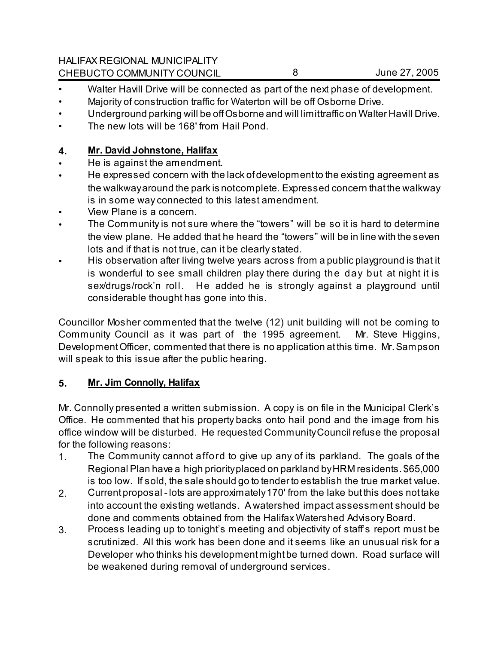HALIFAX REGIONAL MUNICIPALITY CHEBUCTO COMMUNITY COUNCIL 8 8 June 27, 2005

- Walter Havill Drive will be connected as part of the next phase of development.
- Majority of construction traffic for Waterton will be off Osborne Drive.
- Underground parking will be off Osborne and will limittraffic on Walter Havill Drive.
- The new lots will be 168' from Hail Pond.

# **4. Mr. David Johnstone, Halifax**

- He is against the amendment.
- He expressed concern with the lack of development to the existing agreement as the walkway around the park is not complete. Expressed concern that the walkway is in some way connected to this latest amendment.
- View Plane is a concern.
- The Community is not sure where the "towers" will be so it is hard to determine the view plane. He added that he heard the "towers" will be in line with the seven lots and if that is not true, can it be clearly stated.
- His observation after living twelve years across from a public playground is that it is wonderful to see small children play there during the day but at night it is sex/drugs/rock'n roll. He added he is strongly against a playground until considerable thought has gone into this.

Councillor Mosher commented that the twelve (12) unit building will not be coming to Community Council as it was part of the 1995 agreement. Mr. Steve Higgins, Development Officer, commented that there is no application at this time. Mr. Sampson will speak to this issue after the public hearing.

# **5. Mr. Jim Connolly, Halifax**

Mr. Connolly presented a written submission. A copy is on file in the Municipal Clerk's Office. He commented that his property backs onto hail pond and the image from his office window will be disturbed. He requested Community Council refuse the proposal for the following reasons:

- 1. The Community cannot afford to give up any of its parkland. The goals of the Regional Plan have a high priority placed on parkland by HRM residents. \$65,000 is too low. If sold, the sale should go to tender to establish the true market value.
- 2. Current proposal lots are approximately 170' from the lake but this does not take into account the existing wetlands. A watershed impact assessment should be done and comments obtained from the Halifax Watershed Advisory Board.
- 3. Process leading up to tonight's meeting and objectivity of staff's report must be scrutinized. All this work has been done and it seems like an unusual risk for a Developer who thinks his development might be turned down. Road surface will be weakened during removal of underground services.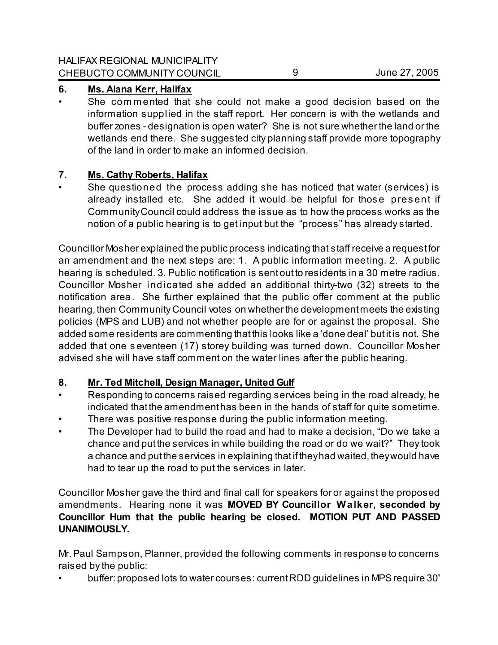# **6. Ms. Alana Kerr, Halifax**

• She com m ented that she could not make a good decision based on the information supplied in the staff report. Her concern is with the wetlands and buffer zones - designation is open water? She is not sure whether the land or the wetlands end there. She suggested city planning staff provide more topography of the land in order to make an informed decision.

# **7. Ms. Cathy Roberts, Halifax**

• She questioned the process adding she has noticed that water (services) is already installed etc. She added it would be helpful for those present if Community Council could address the issue as to how the process works as the notion of a public hearing is to get input but the "process" has already started.

Councillor Mosher explained the public process indicating that staff receive a request for an amendment and the next steps are: 1. A public information meeting. 2. A public hearing is scheduled. 3. Public notification is sent out to residents in a 30 metre radius. Councillor Mosher indicated she added an additional thirty-two (32) streets to the notification area. She further explained that the public offer comment at the public hearing, then Community Council votes on whether the development meets the existing policies (MPS and LUB) and not whether people are for or against the proposal. She added some residents are commenting that this looks like a 'done deal' but it is not. She added that one s eventeen (17) storey building was turned down. Councillor Mosher advised she will have staff comment on the water lines after the public hearing.

# **8. Mr. Ted Mitchell, Design Manager, United Gulf**

- Responding to concerns raised regarding services being in the road already, he indicated that the amendment has been in the hands of staff for quite sometime. There was positive response during the public information meeting.
- The Developer had to build the road and had to make a decision, "Do we take a chance and put the services in while building the road or do we wait?" They took a chance and put the services in explaining that if they had waited, they would have had to tear up the road to put the services in later.

Councillor Mosher gave the third and final call for speakers for or against the proposed amendments. Hearing none it was **MOVED BY Councillor W alker, seconded by Councillor Hum that the public hearing be closed. MOTION PUT AND PASSED UNANIMOUSLY.**

Mr. Paul Sampson, Planner, provided the following comments in response to concerns raised by the public:

• buffer: proposed lots to water courses: current RDD guidelines in MPS require 30'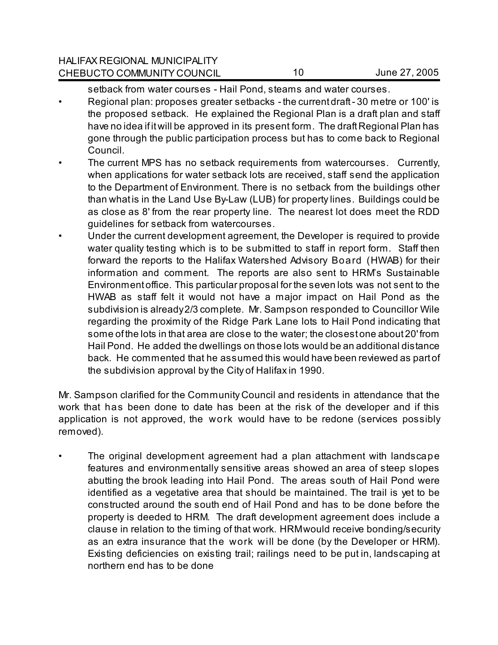setback from water courses - Hail Pond, steams and water courses.

- Regional plan: proposes greater setbacks the current draft 30 metre or 100' is the proposed setback. He explained the Regional Plan is a draft plan and staff have no idea if it will be approved in its present form. The draft Regional Plan has gone through the public participation process but has to come back to Regional Council.
- The current MPS has no setback requirements from watercourses. Currently, when applications for water setback lots are received, staff send the application to the Department of Environment. There is no setback from the buildings other than what is in the Land Use By-Law (LUB) for property lines. Buildings could be as close as 8' from the rear property line. The nearest lot does meet the RDD guidelines for setback from watercourses.
- Under the current development agreement, the Developer is required to provide water quality testing which is to be submitted to staff in report form. Staff then forward the reports to the Halifax Watershed Advisory Board (HWAB) for their information and comment. The reports are also sent to HRM's Sustainable Environment office. This particular proposal for the seven lots was not sent to the HWAB as staff felt it would not have a major impact on Hail Pond as the subdivision is already 2/3 complete. Mr. Sampson responded to Councillor Wile regarding the proximity of the Ridge Park Lane lots to Hail Pond indicating that some of the lots in that area are close to the water; the closest one about 20' from Hail Pond. He added the dwellings on those lots would be an additional distance back. He commented that he assumed this would have been reviewed as part of the subdivision approval by the City of Halifax in 1990.

Mr. Sampson clarified for the Community Council and residents in attendance that the work that has been done to date has been at the risk of the developer and if this application is not approved, the work would have to be redone (services possibly removed).

• The original development agreement had a plan attachment with landscape features and environmentally sensitive areas showed an area of steep slopes abutting the brook leading into Hail Pond. The areas south of Hail Pond were identified as a vegetative area that should be maintained. The trail is yet to be constructed around the south end of Hail Pond and has to be done before the property is deeded to HRM. The draft development agreement does include a clause in relation to the timing of that work. HRM would receive bonding/security as an extra insurance that the work will be done (by the Developer or HRM). Existing deficiencies on existing trail; railings need to be put in, landscaping at northern end has to be done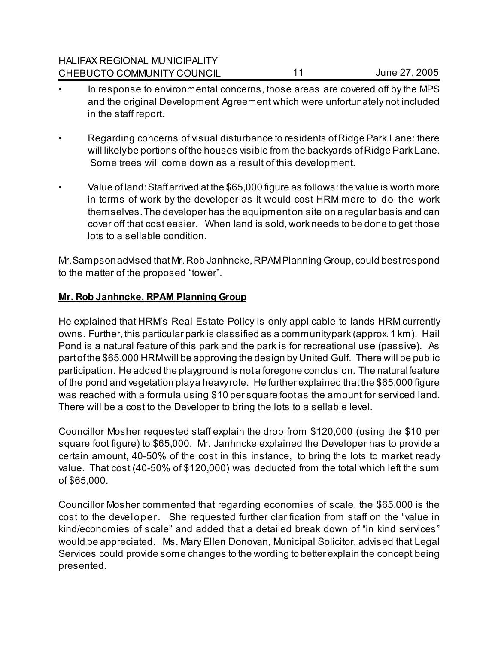| <b>HALIFAX REGIONAL MUNICIPALITY</b> |    |               |
|--------------------------------------|----|---------------|
| CHEBUCTO COMMUNITY COUNCIL           | 44 | June 27, 2005 |

- In response to environmental concerns, those areas are covered off by the MPS and the original Development Agreement which were unfortunately not included in the staff report.
- Regarding concerns of visual disturbance to residents of Ridge Park Lane: there will likely be portions of the houses visible from the backyards of Ridge Park Lane. Some trees will come down as a result of this development.
- Value of land: Staff arrived at the \$65,000 figure as follows: the value is worth more in terms of work by the developer as it would cost HRM more to do the work themselves. The developer has the equipment on site on a regular basis and can cover off that cost easier. When land is sold, work needs to be done to get those lots to a sellable condition.

Mr. Sampson advised that Mr. Rob Janhncke, RPAM Planning Group, could best respond to the matter of the proposed "tower".

## **Mr. Rob Janhncke, RPAM Planning Group**

He explained that HRM's Real Estate Policy is only applicable to lands HRM currently owns. Further, this particular park is classified as a community park (approx. 1 km). Hail Pond is a natural feature of this park and the park is for recreational use (passive). As part of the \$65,000 HRM will be approving the design by United Gulf. There will be public participation. He added the playground is not a foregone conclusion. The natural feature of the pond and vegetation play a heavy role. He further explained that the \$65,000 figure was reached with a formula using \$10 per square foot as the amount for serviced land. There will be a cost to the Developer to bring the lots to a sellable level.

Councillor Mosher requested staff explain the drop from \$120,000 (using the \$10 per square foot figure) to \$65,000. Mr. Janhncke explained the Developer has to provide a certain amount, 40-50% of the cost in this instance, to bring the lots to market ready value. That cost (40-50% of \$120,000) was deducted from the total which left the sum of \$65,000.

Councillor Mosher commented that regarding economies of scale, the \$65,000 is the cost to the developer. She requested further clarification from staff on the "value in kind/economies of scale" and added that a detailed break down of "in kind services" would be appreciated. Ms. Mary Ellen Donovan, Municipal Solicitor, advised that Legal Services could provide some changes to the wording to better explain the concept being presented.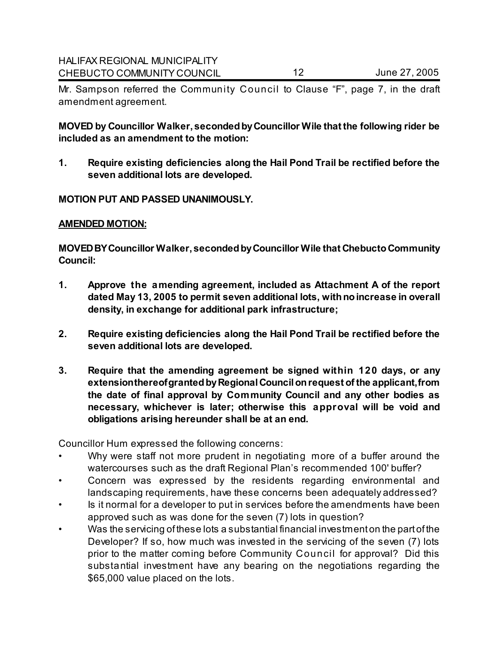Mr. Sampson referred the Community Council to Clause "F", page 7, in the draft amendment agreement.

**MOVED by Councillor Walker, seconded by Councillor Wile that the following rider be included as an amendment to the motion:**

**1. Require existing deficiencies along the Hail Pond Trail be rectified before the seven additional lots are developed.** 

#### **MOTION PUT AND PASSED UNANIMOUSLY.**

#### **AMENDED MOTION:**

**MOVED BY Councillor Walker, seconded by Councillor Wile that Chebucto Community Council:**

- **1. Approve the amending agreement, included as Attachment A of the report dated May 13, 2005 to permit seven additional lots, with no increase in overall density, in exchange for additional park infrastructure;**
- **2. Require existing deficiencies along the Hail Pond Trail be rectified before the seven additional lots are developed.**
- **3. Require that the amending agreement be signed within 120 days, or any extension thereof granted by Regional Council on request of the applicant, from the date of final approval by Community Council and any other bodies as necessary, whichever is later; otherwise this approval will be void and obligations arising hereunder shall be at an end.**

Councillor Hum expressed the following concerns:

- Why were staff not more prudent in negotiating more of a buffer around the watercourses such as the draft Regional Plan's recommended 100' buffer?
- Concern was expressed by the residents regarding environmental and landscaping requirements, have these concerns been adequately addressed?
- Is it normal for a developer to put in services before the amendments have been approved such as was done for the seven (7) lots in question?
- Was the servicing of these lots a substantial financial investment on the part of the Developer? If so, how much was invested in the servicing of the seven (7) lots prior to the matter coming before Community Council for approval? Did this substantial investment have any bearing on the negotiations regarding the \$65,000 value placed on the lots.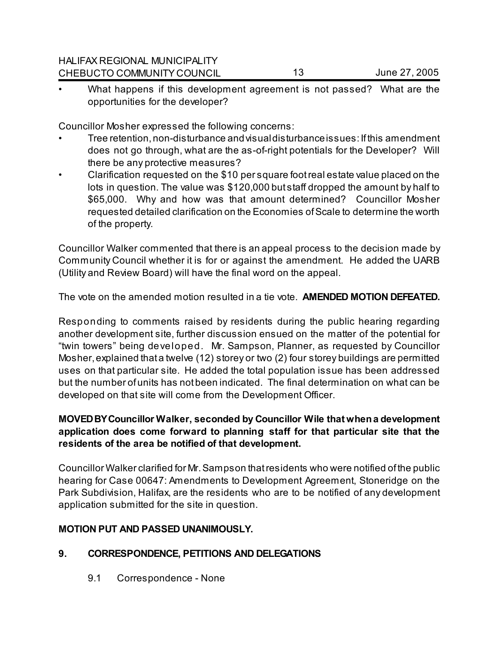What happens if this development agreement is not passed? What are the opportunities for the developer?

Councillor Mosher expressed the following concerns:

- Tree retention, non-disturbance and visual disturbance issues: If this amendment does not go through, what are the as-of-right potentials for the Developer? Will there be any protective measures?
- Clarification requested on the \$10 per square foot real estate value placed on the lots in question. The value was \$120,000 but staff dropped the amount by half to \$65,000. Why and how was that amount determined? Councillor Mosher requested detailed clarification on the Economies of Scale to determine the worth of the property.

Councillor Walker commented that there is an appeal process to the decision made by Community Council whether it is for or against the amendment. He added the UARB (Utility and Review Board) will have the final word on the appeal.

The vote on the amended motion resulted in a tie vote. **AMENDED MOTION DEFEATED.**

Responding to comments raised by residents during the public hearing regarding another development site, further discussion ensued on the matter of the potential for "twin towers" being developed. Mr. Sampson, Planner, as requested by Councillor Mosher, explained that a twelve (12) storey or two (2) four storey buildings are permitted uses on that particular site. He added the total population issue has been addressed but the number of units has not been indicated. The final determination on what can be developed on that site will come from the Development Officer.

# **MOVED BY Councillor Walker, seconded by Councillor Wile that when a development application does come forward to planning staff for that particular site that the residents of the area be notified of that development.**

Councillor Walker clarified for Mr. Sampson that residents who were notified of the public hearing for Case 00647: Amendments to Development Agreement, Stoneridge on the Park Subdivision, Halifax, are the residents who are to be notified of any development application submitted for the site in question.

## **MOTION PUT AND PASSED UNANIMOUSLY.**

## **9. CORRESPONDENCE, PETITIONS AND DELEGATIONS**

9.1 Correspondence - None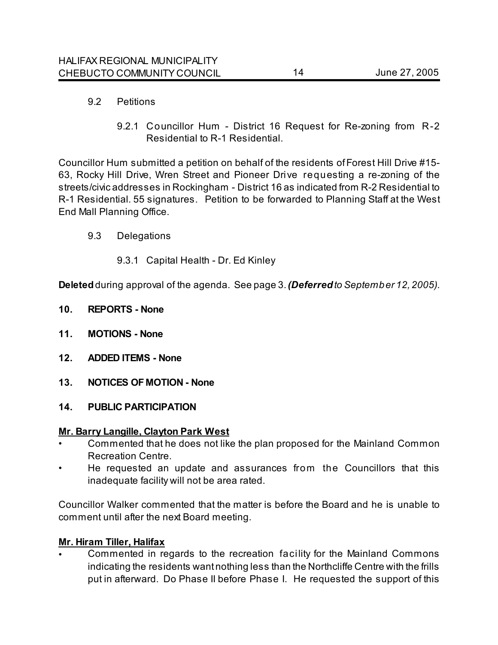## 9.2 Petitions

9.2.1 Councillor Hum - District 16 Request for Re-zoning from R-2 Residential to R-1 Residential.

Councillor Hum submitted a petition on behalf of the residents of Forest Hill Drive #15- 63, Rocky Hill Drive, Wren Street and Pioneer Drive requesting a re-zoning of the streets/civic addresses in Rockingham - District 16 as indicated from R-2 Residential to R-1 Residential. 55 signatures. Petition to be forwarded to Planning Staff at the West End Mall Planning Office.

- 9.3 Delegations
	- 9.3.1 Capital Health Dr. Ed Kinley

**Deleted** during approval of the agenda. See page 3.*(Deferred to September 12, 2005).*

- **10. REPORTS None**
- **11. MOTIONS None**
- **12. ADDED ITEMS None**
- **13. NOTICES OF MOTION None**
- **14. PUBLIC PARTICIPATION**

### **Mr. Barry Langille, Clayton Park West**

- Commented that he does not like the plan proposed for the Mainland Common Recreation Centre.
- He requested an update and assurances from the Councillors that this inadequate facility will not be area rated.

Councillor Walker commented that the matter is before the Board and he is unable to comment until after the next Board meeting.

### **Mr. Hiram Tiller, Halifax**

• Commented in regards to the recreation facility for the Mainland Commons indicating the residents want nothing less than the Northcliffe Centre with the frills put in afterward. Do Phase II before Phase I. He requested the support of this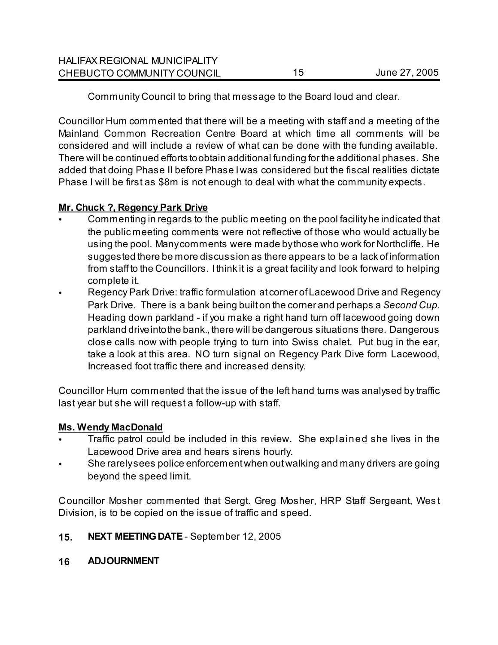| <b>HALIFAX REGIONAL MUNICIPALITY</b> |               |
|--------------------------------------|---------------|
| CHEBUCTO COMMUNITY COUNCIL           | June 27, 2005 |

Community Council to bring that message to the Board loud and clear.

Councillor Hum commented that there will be a meeting with staff and a meeting of the Mainland Common Recreation Centre Board at which time all comments will be considered and will include a review of what can be done with the funding available. There will be continued efforts to obtain additional funding for the additional phases. She added that doing Phase II before Phase I was considered but the fiscal realities dictate Phase I will be first as \$8m is not enough to deal with what the community expects.

## **Mr. Chuck ?, Regency Park Drive**

- Commenting in regards to the public meeting on the pool facility he indicated that the public meeting comments were not reflective of those who would actually be using the pool. Many comments were made by those who work for Northcliffe. He suggested there be more discussion as there appears to be a lack of information from staff to the Councillors. I think it is a great facility and look forward to helping complete it.
- Regency Park Drive: traffic formulation at corner of Lacewood Drive and Regency Park Drive. There is a bank being built on the corner and perhaps a *Second Cup*. Heading down parkland - if you make a right hand turn off lacewood going down parkland drive into the bank., there will be dangerous situations there. Dangerous close calls now with people trying to turn into Swiss chalet. Put bug in the ear, take a look at this area. NO turn signal on Regency Park Dive form Lacewood, Increased foot traffic there and increased density.

Councillor Hum commented that the issue of the left hand turns was analysed by traffic last year but she will request a follow-up with staff.

## **Ms. Wendy MacDonald**

- Traffic patrol could be included in this review. She explained she lives in the Lacewood Drive area and hears sirens hourly.
- She rarely sees police enforcement when out walking and many drivers are going beyond the speed limit.

Councillor Mosher commented that Sergt. Greg Mosher, HRP Staff Sergeant, Wes t Division, is to be copied on the issue of traffic and speed.

# **15. NEXT MEETING DATE** - September 12, 2005

## **16 ADJOURNMENT**